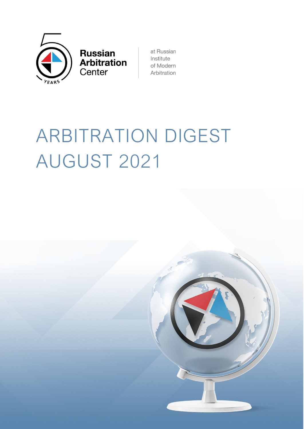

**Russian<br>Arbitration** Center

at Russian Institute of Modern Arbitration

# ARBITRATION DIGEST AUGUST 2021

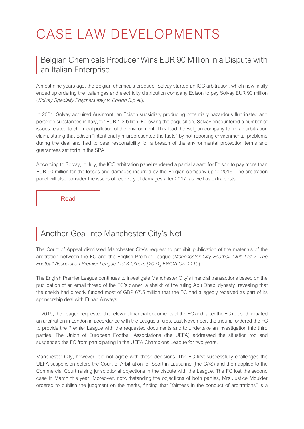# CASE LAW DEVELOPMENTS

#### [Belgian Chemicals Producer Wins EUR 90 Million in a Dispute with](https://globalarbitrationreview.com/italian-utility-liable-breaching-environmental-guarantees)  [an Italian Enterprise](https://globalarbitrationreview.com/italian-utility-liable-breaching-environmental-guarantees)

Almost nine years ago, the Belgian chemicals producer Solvay started an ICC arbitration, which now finally ended up ordering the Italian gas and electricity distribution company Edison to pay Solvay EUR 90 million (Solvay Specialty Polymers Italy v. Edison S.p.A.).

In 2001, Solvay acquired Ausimont, an Edison subsidiary producing potentially hazardous fluorinated and peroxide substances in Italy, for EUR 1.3 billion. Following the acquisition, Solvay encountered a number of issues related to chemical pollution of the environment. This lead the Belgian company to file an arbitration claim, stating that Edison "intentionally misrepresented the facts" by not reporting environmental problems during the deal and had to bear responsibility for a breach of the environmental protection terms and guarantees set forth in the SPA.

According to Solvay, in July, the ICC arbitration panel rendered a partial award for Edison to pay more than EUR 90 million for the losses and damages incurred by the Belgian company up to 2016. The arbitration panel will also consider the issues of recovery of damages after 2017, as well as extra costs.

[Read](https://globalarbitrationreview.com/italian-utility-liable-breaching-environmental-guarantees)

# [Another Goal into Manchester City's](https://www.cms-lawnow.com/ealerts/2021/07/alls-fair-in-football-and-arbitration-court-of-appeal-orders-publication-of-high-court-judgments) Net

The Court of Appeal dismissed Manchester City's request to prohibit publication of the materials of the arbitration between the FC and the English Premier League (*Manchester City Football Club Ltd v. The Football Association Premier League Ltd & Others [2021] EWCA Civ 1110*).

The English Premier League continues to investigate Manchester City's financial transactions based on the publication of an email thread of the FC's owner, a sheikh of the ruling Abu Dhabi dynasty, revealing that the sheikh had directly funded most of GBP 67.5 million that the FC had allegedly received as part of its sponsorship deal with Etihad Airways.

In 2019, the League requested the relevant financial documents of the FC and, after the FC refused, initiated an arbitration in London in accordance with the League's rules. Last November, the tribunal ordered the FC to provide the Premier League with the requested documents and to undertake an investigation into third parties. The Union of European Football Associations (the UEFA) addressed the situation too and suspended the FC from participating in the UEFA Champions League for two years.

Manchester City, however, did not agree with these decisions. The FC first successfully challenged the UEFA suspension before the Court of Arbitration for Sport in Lausanne (the CAS) and then applied to the Commercial Court raising jurisdictional objections in the dispute with the League. The FC lost the second case in March this year. Moreover, notwithstanding the objections of both parties, Mrs Justice Moulder ordered to publish the judgment on the merits, finding that "fairness in the conduct of arbitrations" is a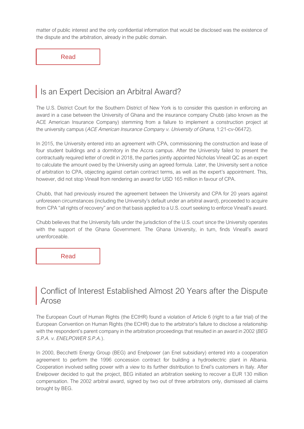matter of public interest and the only confidential information that would be disclosed was the existence of the dispute and the arbitration, already in the public domain.

[Read](https://www.cms-lawnow.com/ealerts/2021/07/alls-fair-in-football-and-arbitration-court-of-appeal-orders-publication-of-high-court-judgments)

### [Is an Expert Decision an Arbitral Award?](https://globalarbitrationreview.com/insurer-seeks-enforce-against-ghana-university)

The U.S. District Court for the Southern District of New York is to consider this question in enforcing an award in a case between the University of Ghana and the insurance company Chubb (also known as the ACE American Insurance Company) stemming from a failure to implement a construction project at the university campus (ACE American Insurance Company v. University of Ghana, 1:21-cv-06472).

In 2015, the University entered into an agreement with CPA, commissioning the construction and lease of four student buildings and a dormitory in the Accra campus. After the University failed to present the contractually required letter of credit in 2018, the parties jointly appointed Nicholas Vineall QC as an expert to calculate the amount owed by the University using an agreed formula. Later, the University sent a notice of arbitration to CPA, objecting against certain contract terms, as well as the expert's appointment. This, however, did not stop Vineall from rendering an award for USD 165 million in favour of CPA.

Chubb, that had previously insured the agreement between the University and CPA for 20 years against unforeseen circumstances (including the University's default under an arbitral award), proceeded to acquire from CPA "all rights of recovery" and on that basis applied to a U.S. court seeking to enforce Vineall's award.

Chubb believes that the University falls under the jurisdiction of the U.S. court since the University operates with the support of the Ghana Government. The Ghana University, in turn, finds Vineall's award unenforceable.

[Read](https://globalarbitrationreview.com/insurer-seeks-enforce-against-ghana-university)

#### [Conflict of Interest Established Almost 20 Years after the Dispute](http://arbitrationblog.kluwerarbitration.com/2021/07/29/the-ecthr-judgment-in-beg-spa-v-italy-a-human-right-to-a-conflict-free-arbitrator-part-i/)  [Arose](http://arbitrationblog.kluwerarbitration.com/2021/07/29/the-ecthr-judgment-in-beg-spa-v-italy-a-human-right-to-a-conflict-free-arbitrator-part-i/)

The European Court of Human Rights (the ECtHR) found a violation of Article 6 (right to a fair trial) of the European Convention on Human Rights (the ECHR) due to the arbitrator's failure to disclose a relationship with the respondent's parent company in the arbitration proceedings that resulted in an award in 2002 (*BEG S.P.A. v. ENELPOWER S.P.A.*).

In 2000, Becchetti Energy Group (BEG) and Enelpower (an Enel subsidiary) entered into a cooperation agreement to perform the 1996 concession contract for building a hydroelectric plant in Albania. Cooperation involved selling power with a view to its further distribution to Enel's customers in Italy. After Enelpower decided to quit the project, BEG initiated an arbitration seeking to recover a EUR 130 million compensation. The 2002 arbitral award, signed by two out of three arbitrators only, dismissed all claims brought by BEG.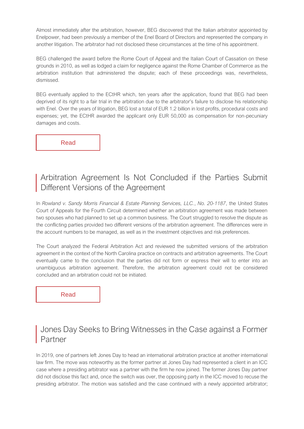Almost immediately after the arbitration, however, BEG discovered that the Italian arbitrator appointed by Enelpower, had been previously a member of the Enel Board of Directors and represented the company in another litigation. The arbitrator had not disclosed these circumstances at the time of his appointment.

BEG challenged the award before the Rome Court of Appeal and the Italian Court of Cassation on these grounds in 2010, as well as lodged a claim for negligence against the Rome Chamber of Commerce as the arbitration institution that administered the dispute; each of these proceedings was, nevertheless, dismissed.

BEG eventually applied to the ECtHR which, ten years after the application, found that BEG had been deprived of its right to a fair trial in the arbitration due to the arbitrator's failure to disclose his relationship with Enel. Over the years of litigation, BEG lost a total of EUR 1.2 billion in lost profits, procedural costs and expenses; yet, the ECtHR awarded the applicant only EUR 50,000 as compensation for non-pecuniary damages and costs.

[Read](http://arbitrationblog.kluwerarbitration.com/2021/07/29/the-ecthr-judgment-in-beg-spa-v-italy-a-human-right-to-a-conflict-free-arbitrator-part-i/)

#### Arbitration Agreement Is Not Concluded if the Parties Submit Different Versions of the Agreement

In *Rowland v. Sandy Morris Financial & Estate Planning Services, LLC.*, *No. 20-1187*, the United States Court of Appeals for the Fourth Circuit determined whether an arbitration agreement was made between two spouses who had planned to set up a common business. The Court struggled to resolve the dispute as the conflicting parties provided two different versions of the arbitration agreement. The differences were in the account numbers to be managed, as well as in the investment objectives and risk preferences.

The Court analyzed the Federal Arbitration Act and reviewed the submitted versions of the arbitration agreement in the context of the North Carolina practice on contracts and arbitration agreements. The Court eventually came to the conclusion that the parties did not form or express their will to enter into an unambiguous arbitration agreement. Therefore, the arbitration agreement could not be considered concluded and an arbitration could not be initiated.

[Read](https://globalarbitrationnews.com/contract-compelling-arbitration-not-formed-where-parties-submitted-two-different-versions-of-the-same-agreement-as-evidence/)

#### [Jones Day Seeks to Bring Witnesses in the Case against a Former](https://globalarbitrationreview.com/jones-day-renews-discovery-bid-in-buhler-dispute)  [Partner](https://globalarbitrationreview.com/jones-day-renews-discovery-bid-in-buhler-dispute)

In 2019, one of partners left Jones Day to head an international arbitration practice at another international law firm. The move was noteworthy as the former partner at Jones Day had represented a client in an ICC case where a presiding arbitrator was a partner with the firm he now joined. The former Jones Day partner did not disclose this fact and, once the switch was over, the opposing party in the ICC moved to recuse the presiding arbitrator. The motion was satisfied and the case continued with a newly appointed arbitrator;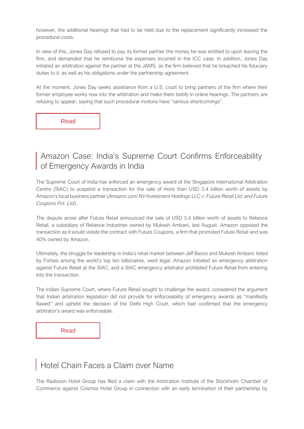however, the additional hearings that had to be held due to the replacement significantly increased the procedural costs.

In view of this, Jones Day refused to pay its former partner the money he was entitled to upon leaving the firm, and demanded that he reimburse the expenses incurred in the ICC case. In addition, Jones Day initiated an arbitration against the partner at the JAMS, as the firm believed that he breached his fiduciary duties to it, as well as his obligations under the partnership agreement.

At the moment, Jones Day seeks assistance from a U.S. court to bring partners of the firm where their former employee works now into the arbitration and make them testify in online hearings. The partners are refusing to appear, saying that such procedural motions have "serious shortcomings".

[Read](https://globalarbitrationreview.com/jones-day-renews-discovery-bid-in-buhler-dispute)

[Amazon Case: India's Supreme Court Confirms Enforceability](https://globalarbitrationreview.com/amazon-can-enforce-emergency-award-in-india) of Emergency Awards in India

The Supreme Court of India has enforced an emergency award of the Singapore International Arbitration Centre (SIAC) to suspend a transaction for the sale of more than USD 3.4 billion worth of assets by Amazon's local business partner (*Amazon.com NV Investment Holdings LLC v. Future Retail Ltd. and Future Coupons Pvt. Ltd*).

The dispute arose after Future Retail announced the sale of USD 3.4 billion worth of assets to Reliance Retail, a subsidiary of Reliance Industries owned by Mukesh Ambani, last August. Amazon opposed the transaction as it would violate the contract with Future Coupons, a firm that promoted Future Retail and was 40% owned by Amazon.

Ultimately, the struggle for leadership in India's retail market between Jeff Bezos and Mukesh Ambani, listed by Forbes among the world's top ten billionaires, went legal. Amazon initiated an emergency arbitration against Future Retail at the SIAC, and a SIAC emergency arbitrator prohibited Future Retail from entering into the transaction.

The Indian Supreme Court, where Future Retail sought to challenge the award, considered the argument that Indian arbitration legislation did not provide for enforceability of emergency awards as "manifestly flawed" and upheld the decision of the Delhi High Court, which had confirmed that the emergency arbitrator's award was enforceable.

[Read](https://globalarbitrationreview.com/amazon-can-enforce-emergency-award-in-india)

#### [Hotel Chain Faces a Claim over Name](https://www.kommersant.ru/doc/4946675)

The Radisson Hotel Group has filed a claim with the Arbitration Institute of the Stockholm Chamber of Commerce against Cosmos Hotel Group in connection with an early termination of their partnership by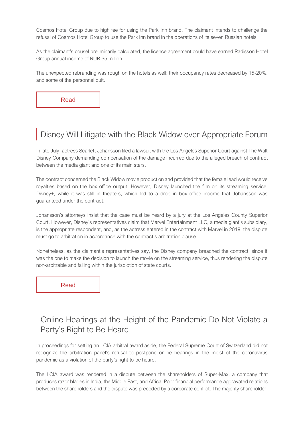Cosmos Hotel Group due to high fee for using the Park Inn brand. The claimant intends to challenge the refusal of Cosmos Hotel Group to use the Park Inn brand in the operations of its seven Russian hotels.

As the claimant's cousel preliminarily calculated, the licence agreement could have earned Radisson Hotel Group annual income of RUB 35 million.

The unexpected rebranding was rough on the hotels as well: their occupancy rates decreased by 15-20%, and some of the personnel quit.

[Read](https://www.kommersant.ru/doc/4946675)

# [Disney Will Litigate with the Black Widow over Appropriate Forum](https://www.cnbc.com/2021/08/23/disney-wants-to-move-scarlett-johansson-lawsuit-to-private-arbitration.html)

In late July, actress Scarlett Johansson filed a lawsuit with the Los Angeles Superior Court against The Walt Disney Company demanding compensation of the damage incurred due to the alleged breach of contract between the media giant and one of its main stars.

The contract concerned the Black Widow movie production and provided that the female lead would receive royalties based on the box office output. However, Disney launched the film on its streaming service, Disney+, while it was still in theaters, which led to a drop in box office income that Johansson was guaranteed under the contract.

Johansson's attorneys insist that the case must be heard by a jury at the Los Angeles County Superior Court. However, Disney's representatives claim that Marvel Entertainment LLC, a media giant's subsidiary, is the appropriate respondent, and, as the actress entered in the contract with Marvel in 2019, the dispute must go to arbitration in accordance with the contract's arbitration clause.

Nonetheless, as the claimant's representatives say, the Disney company breached the contract, since it was the one to make the decision to launch the movie on the streaming service, thus rendering the dispute non-arbitrable and falling within the jurisdiction of state courts.

[Read](https://www.cnbc.com/2021/08/23/disney-wants-to-move-scarlett-johansson-lawsuit-to-private-arbitration.html)

#### [Online Hearings at the Height of the Pandemic Do Not Violate a](https://globalarbitrationreview.com/covid-plea-fails-blunt-razor-award)  [Party's Right to Be Heard](https://globalarbitrationreview.com/covid-plea-fails-blunt-razor-award)

In proceedings for setting an LCIA arbitral award aside, the Federal Supreme Court of Switzerland did not recognize the arbitration panel's refusal to postpone online hearings in the midst of the coronavirus pandemic as a violation of the party's right to be heard.

The LCIA award was rendered in a dispute between the shareholders of Super-Max, a company that produces razor blades in India, the Middle East, and Africa. Poor financial performance aggravated relations between the shareholders and the dispute was preceded by a corporate conflict. The majority shareholder,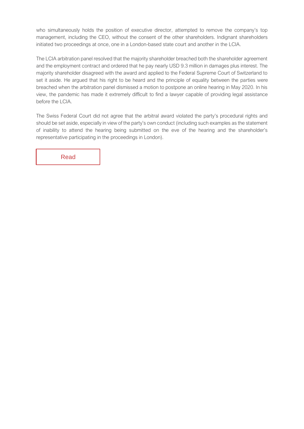who simultaneously holds the position of executive director, attempted to remove the company's top management, including the CEO, without the consent of the other shareholders. Indignant shareholders initiated two proceedings at once, one in a London-based state court and another in the LCIA.

The LCIA arbitration panel resolved that the majority shareholder breached both the shareholder agreement and the employment contract and ordered that he pay nearly USD 9.3 million in damages plus interest. The majority shareholder disagreed with the award and applied to the Federal Supreme Court of Switzerland to set it aside. He argued that his right to be heard and the principle of equality between the parties were breached when the arbitration panel dismissed a motion to postpone an online hearing in May 2020. In his view, the pandemic has made it extremely difficult to find a lawyer capable of providing legal assistance before the LCIA.

The Swiss Federal Court did not agree that the arbitral award violated the party's procedural rights and should be set aside, especially in view of the party's own conduct (including such examples as the statement of inability to attend the hearing being submitted on the eve of the hearing and the shareholder's representative participating in the proceedings in London).

[Read](https://globalarbitrationreview.com/covid-plea-fails-blunt-razor-award)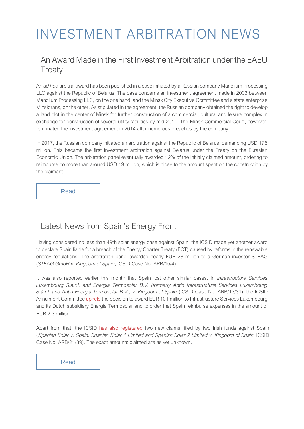# INVESTMENT ARBITRATION NEWS

#### [An Award Made in the First Investment Arbitration under the EAEU](https://globalarbitrationreview.com/belarus-defeats-bulk-of-claim-over-leisure-complex)  **[Treaty](https://globalarbitrationreview.com/belarus-defeats-bulk-of-claim-over-leisure-complex)**

An *ad hoc* arbitral award has been published in a case initiated by a Russian company Manolium Processing LLC against the Republic of Belarus. The case concerns an investment agreement made in 2003 between Manolium Processing LLC, on the one hand, and the Minsk City Executive Committee and a state enterprise Minsktrans, on the other. As stipulated in the agreement, the Russian company obtained the right to develop a land plot in the center of Minsk for further construction of a commercial, cultural and leisure complex in exchange for construction of several utility facilities by mid-2011. The Minsk Commercial Court, however, terminated the investment agreement in 2014 after numerous breaches by the company.

In 2017, the Russian company initiated an arbitration against the Republic of Belarus, demanding USD 176 million. This became the first investment arbitration against Belarus under the Treaty on the Eurasian Economic Union. The arbitration panel eventually awarded 12% of the initially claimed amount, ordering to reimburse no more than around USD 19 million, which is close to the amount spent on the construction by the claimant.

[Read](https://globalarbitrationreview.com/belarus-defeats-bulk-of-claim-over-leisure-complex)

# [Latest News from Spain's Energy Front](https://globalarbitrationreview.com/spain-ordered-pay-german-solar-investor)

Having considered no less than 49th solar energy case against Spain, the ICSID made yet another award to declare Spain liable for a breach of the Energy Charter Treaty (ECT) caused by reforms in the renewable energy regulations. The arbitration panel awarded nearly EUR 28 million to a German investor STEAG (*STEAG GmbH v. Kingdom of Spain*, ICSID Case No. ARB/15/4).

It was also reported earlier this month that Spain lost other similar cases. In *Infrastructure Services Luxembourg S.à.r.l. and Energia Termosolar B.V. (formerly Antin Infrastructure Services Luxembourg S.à.r.l. and Antin Energia Termosolar B.V.) v. Kingdom of Spain* (ICSID Case No. ARB/13/31), the ICSID Annulment Committe[e upheld](https://globalarbitrationreview.com/spain-fails-overturn-solar-award) the decision to award EUR 101 million to Infrastructure Services Luxembourg and its Dutch subsidiary Energia Termosolar and to order that Spain reimburse expenses in the amount of EUR 2.3 million.

Apart from that, t[he ICSID has also registered two new c](https://globalarbitrationreview.com/spain-faces-yet-another-renewables-claim)laims, filed by two Irish funds against Spain (Spanish Solar v. Spain. Spanish Solar 1 Limited and Spanish Solar 2 Limited v. Kingdom of Spain, ICSID Case No. ARB/21/39). The exact amounts claimed are as yet unknown.

[Read](https://globalarbitrationreview.com/spain-ordered-pay-german-solar-investor)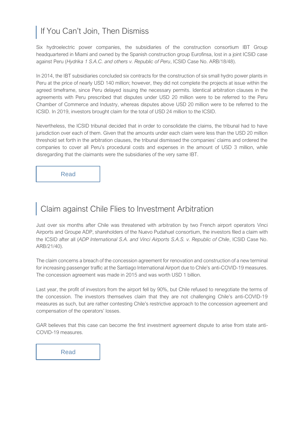# [If You Can't Join, Then Dismiss](https://globalarbitrationreview.com/peru-defeats-hydro-claims-icsid)

Six hydroelectric power companies, the subsidiaries of the construction consortium IBT Group headquartered in Miami and owned by the Spanish construction group Eurofinsa, lost in a joint ICSID case against Peru (*Hydrika 1 S.A.C. and others v. Republic of Peru*, ICSID Case No. ARB/18/48).

In 2014, the IBT subsidiaries concluded six contracts for the construction of six small hydro power plants in Peru at the price of nearly USD 140 million; however, they did not complete the projects at issue within the agreed timeframe, since Peru delayed issuing the necessary permits. Identical arbitration clauses in the agreements with Peru prescribed that disputes under USD 20 million were to be referred to the Peru Chamber of Commerce and Industry, whereas disputes above USD 20 million were to be referred to the ICSID. In 2019, investors brought claim for the total of USD 24 million to the ICSID.

Nevertheless, the ICSID tribunal decided that in order to consolidate the claims, the tribunal had to have jurisdiction over each of them. Given that the amounts under each claim were less than the USD 20 million threshold set forth in the arbitration clauses, the tribunal dismissed the companies' claims and ordered the companies to cover all Peru's procedural costs and expenses in the amount of USD 3 million, while disregarding that the claimants were the subsidiaries of the very same IBT.

[Read](https://globalarbitrationreview.com/peru-defeats-hydro-claims-icsid)

#### [Claim against Chile Flies to Investment Arbitration](https://globalarbitrationreview.com/chile-hit-claim-over-airport-pandemic-disruption)

Just over six months after Chile was threatened with arbitration by two French airport operators Vinci Airports and Groupe ADP, shareholders of the Nuevo Pudahuel consortium, the investors filed a claim with the ICSID after all (*ADP International S.A. and Vinci Airports S.A.S. v. Republic of Chile*, ICSID Case No. ARB/21/40).

The claim concerns a breach of the concession agreement for renovation and construction of a new terminal for increasing passenger traffic at the Santiago International Airport due to Chile's anti-COVID-19 measures. The concession agreement was made in 2015 and was worth USD 1 billion.

Last year, the profit of investors from the airport fell by 90%, but Chile refused to renegotiate the terms of the concession. The investors themselves claim that they are not challenging Chile's anti-COVID-19 measures as such, but are rather contesting Chile's restrictive approach to the concession agreement and compensation of the operators' losses.

GAR believes that this case can become the first investment agreement dispute to arise from state anti-COVID-19 measures.

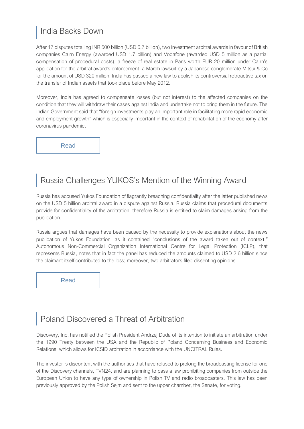#### [India Backs Down](https://globalarbitrationreview.com/india-moves-settle-tax-claims)

After 17 disputes totalling INR 500 billion (USD 6.7 billion), two investment arbitral awards in favour of British companies Cairn Energy (awarded USD 1.7 billion) and Vodafone (awarded USD 5 million as a partial compensation of procedural costs), a freeze of real estate in Paris worth EUR 20 million under Cairn's application for the arbitral award's enforcement, a March lawsuit by a Japanese conglomerate Mitsui & Co for the amount of USD 320 million, India has passed a new law to abolish its controversial retroactive tax on the transfer of Indian assets that took place before May 2012.

Moreover, India has agreed to compensate losses (but not interest) to the affected companies on the condition that they will withdraw their cases against India and undertake not to bring them in the future. The Indian Government said that "foreign investments play an important role in facilitating more rapid economic and employment growth" which is especially important in the context of rehabilitation of the economy after coronavirus pandemic.

[Read](https://globalarbitrationreview.com/india-moves-settle-tax-claimshttps:/globalarbitrationreview.com/india-moves-settle-tax-claims)

# [Russia Challenges YUKOS's Mention of the Winning Award](https://www.rbc.ru/economics/05/08/2021/610a7d5d9a7947d015cc3c7d)

Russia has accused Yukos Foundation of flagrantly breaching confidentiality after the latter published news on the USD 5 billion arbitral award in a dispute against Russia. Russia claims that procedural documents provide for confidentiality of the arbitration, therefore Russia is entitled to claim damages arising from the publication.

Russia argues that damages have been caused by the necessity to provide explanations about the news publication of Yukos Foundation, as it contained "conclusions of the award taken out of context." Autonomous Non-Commercial Organization International Centre for Legal Protection (ICLP), that represents Russia, notes that in fact the panel has reduced the amounts claimed to USD 2.6 billion since the claimant itself contributed to the loss; moreover, two arbitrators filed dissenting opinions.

[Read](https://www.rbc.ru/economics/05/08/2021/610a7d5d9a7947d015cc3c7d)

# [Poland Discovered a Threat of Arbitration](https://corporate.discovery.com/discovery-newsroom/discovery-inc-to-charge-the-government-of-poland-with-violations-to-the-us-poland-bilateral-investment-treaty/)

Discovery, Inc. has notified the Polish President Andrzej Duda of its intention to initiate an arbitration under the 1990 Treaty between the USA and the Republic of Poland Concerning Business and Economic Relations, which allows for ICSID arbitration in accordance with the UNCITRAL Rules.

The investor is discontent with the authorities that have refused to prolong the broadcasting license for one of the Discovery channels, TVN24, and are planning to pass a law prohibiting companies from outside the European Union to have any type of ownership in Polish TV and radio broadcasters. This law has been previously approved by the Polish Sejm and sent to the upper chamber, the Senate, for voting.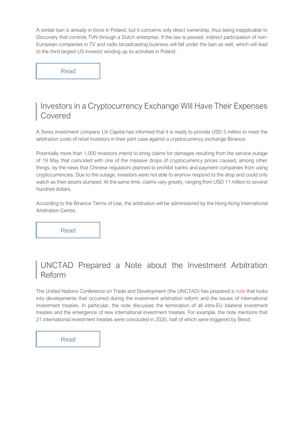A similar ban is already in force in Poland, but it concerns only direct ownership, thus being inapplicable to Discovery that controls [TVN thro](https://time.com/6089941/poland-discovery-media-law/)ugh a Dutch enterprise. If the law is passed, indirect participation of non-European companies in TV and radio broadcasting business will fall under the ban as well, which will lead to the third largest US investor winding up its activities in Poland.

[Read](https://corporate.discovery.com/discovery-newsroom/discovery-inc-to-charge-the-government-of-poland-with-violations-to-the-us-poland-bilateral-investment-treaty/)

#### [Investors in a Cryptocurrency Exchange Will Have Their Expenses](https://liticapital.com/liti-capital-to-fund-group-action-against-binance/)  [Covered](https://liticapital.com/liti-capital-to-fund-group-action-against-binance/)

A Swiss investment company Liti Capital has informed that it is ready to provide USD 5 million to meet the arbitration costs of retail investors in their joint case against a cryptocurrency exchange Binance.

Potentially more than 1,000 investors intend to bring claims for damages resulting from the service outage of 19 May that coincided with one of the massive drops of cryptocurrency prices caused, among other things, by the news that Chinese regulators planned to prohibit banks and payment companies from using cryptocurrencies. Due to the outage, investors were not able to anyhow respond to the drop and could only watch as their assets slumped. At the same time, claims vary greatly, ranging from USD 11 million to several hundred dollars.

According to the Binance Terms of Use, the arbitration will be administered by the Hong Kong International Arbitration Centre.

[Read](https://liticapital.com/liti-capital-to-fund-group-action-against-binance/)

#### [UNCTAD Prepared a Note about the Investment Arbitration](https://investmentpolicy.unctad.org/publications/1253/recent-developments-in-the-iia-regime-accelerating-iia-reform)  [Reform](https://investmentpolicy.unctad.org/publications/1253/recent-developments-in-the-iia-regime-accelerating-iia-reform)

The United Nations Conference on Trade and Development (the UNCTAD) has prepared [a note](https://unctad.org/system/files/official-document/diaepcbinf2021d6_en.pdf) that looks into developments that occurred during the investment arbitration reform and the issues of international investment treaties. In particular, the note discusses the termination of all intra-EU bilateral investment treaties and the emergence of new international investment treaties. For example, the note mentions that 21 international investment treaties were concluded in 2020, half of which were triggered by Brexit.

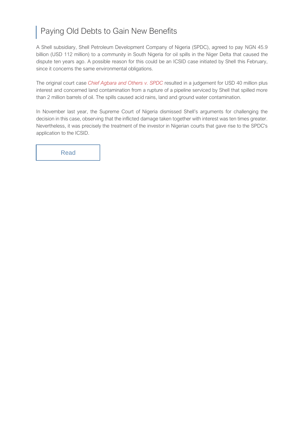# [Paying Old Debts to Gain New Benefits](https://globalarbitrationreview.com/shell-shell-out-in-nigerian-oil-spill-dispute)

A Shell subsidiary, Shell Petroleum Development Company of Nigeria (SPDC), agreed to pay NGN 45.9 billion (USD 112 million) to a community in South Nigeria for oil spills in the Niger Delta that caused the dispute ten years ago. A possible reason for this could be an ICSID case initiated by Shell this February, since it concerns the same environmental obligations.

The original court case *Chief Agbara and Others [v. SPDC](https://www.ecolex.org/details/court-decision/agbara-et-al-v-shell-petroleum-et-al-ec451519-5f0b-40f0-8122-f53fd3a6cb1c/)* resulted in a judgement for USD 40 million plus interest and concerned land contamination from a rupture of a pipeline serviced by Shell that spilled more than 2 million barrels of oil. The spills caused acid rains, land and ground water contamination.

In November last year, the Supreme Court of Nigeria dismissed Shell's arguments for challenging the decision in this case, observing that the inflicted damage taken together with interest was ten times greater. Nevertheless, it was precisely the treatment of the investor in Nigerian courts that gave rise to the SPDC's application to the ICSID.

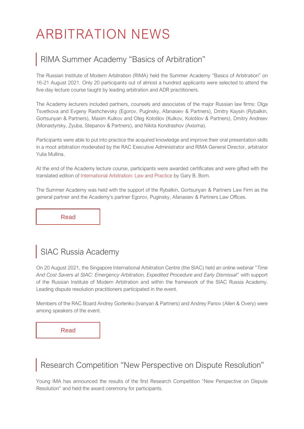# ARBITRATION NEWS

# [RIMA Summer Academy "Basics of Arbitration"](https://modernarbitration.ru/ru/news/Letnyaya-akademiya-Osnovy-arbitrazha-tretejskogo-razbiratelstva-itogi)

The Russian Institute of Modern Arbitration (RIMA) held the Summer Academy "Basics of Arbitration" on 16-21 August 2021. Only 20 participants out of almost a hundred applicants were selected to attend the five-day lecture course taught by leading arbitration and ADR practitioners.

The Academy lecturers included partners, counsels and associates of the major Russian law firms: Olga Tsvetkova and Evgeny Rashchevsky (Egorov, Puginsky, Afanasiev & Partners), Dmitry Kaysin (Rybalkin, Gortsunyan & Partners), Maxim Kulkov and Oleg Kolotilov (Kulkov, Kolotilov & Partners), Dmitry Andreev (Monastyrsky, Zyuba, Stepanov & Partners), and Nikita Kondrashov (Axioma).

Participants were able to put into practice the acquired knowledge and improve their oral presentation skills in a moot arbitration moderated by the RAC Executive Administrator and RIMA General Director, arbitrator Yulia Mullina.

At the end of the Academy lecture course, participants were awarded certificates and were gifted with the translated edition o[f International Arbitration: Law and Practice](https://modernarbitration.ru/en/garyborn/book) by Gary B. Born.

The Summer Academy was held with the support of the Rybalkin, Gortsunyan & Partners Law Firm as the general partner and the Academy's partner Egorov, Puginsky, Afanasiev & Partners Law Offices.

[Read](https://modernarbitration.ru/ru/news/Letnyaya-akademiya-Osnovy-arbitrazha-tretejskogo-razbiratelstva-itogi)

# [SIAC Russia Academy](https://www.siac.org.sg/component/registrationpro/event/526/SIAC-Russia-Academy-(Virtual-Edition)--Time-and-Cost-Savers-at-SIAC--Emergency-Arbitration--Expedited-Procedure-and-Early-Dismissal?Itemid=552)

On 20 August 2021, the Singapore International Arbitration Centre (the SIAC) held an online webinar "*Time And Cost Savers at SIAC: Emergency Arbitration, Expedited Procedure and Early Dismissal*" with support of the Russian Institute of Modern Arbitration and within the framework of the SIAC Russia Academy. Leading dispute resolution practitioners participated in the event.

Members of the RAC Board Andrey Gorlenko (Ivanyan & Partners) and Andrey Panov (Allen & Overy) were among speakers of the event.

[Read](https://www.siac.org.sg/component/registrationpro/event/526/SIAC-Russia-Academy-(Virtual-Edition)--Time-and-Cost-Savers-at-SIAC--Emergency-Arbitration--Expedited-Procedure-and-Early-Dismissal?Itemid=552)

# [Research Competition "New Perspective on Dispute Resolution"](https://modernarbitration.ru/ru/yima/newperspective)

Young IMA has announced the results of the first Research Competition "New Perspective on Dispute Resolution" and held the award ceremony for participants.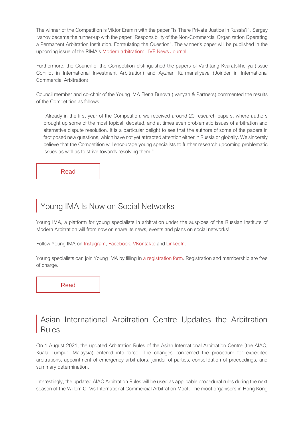The winner of the Competition is Viktor Eremin with the paper "Is There Private Justice in Russia?". Sergey Ivanov became the runner-up with the paper "Responsibility of the Non-Commercial Organization Operating a Permanent Arbitration Institution. Formulating the Question". The winner's paper will be published in the upcoming issue of the RIMA's [Modern arbitration: LIVE News Journal.](https://modernarbitration.ru/en/live/journal)

Furthermore, the Council of the Competition distinguished the papers of Vakhtang Kvaratskheliya (Issue Conflict in International Investment Arbitration) and Ayzhan Kurmanaliyeva (Joinder in International Commercial Arbitration).

Council member and co-chair of the Young IMA Elena Burova (Ivanyan & Partners) commented the results of the Competition as follows:

"Already in the first year of the Competition, we received around 20 research papers, where authors brought up some of the most topical, debated, and at times even problematic issues of arbitration and alternative dispute resolution. It is a particular delight to see that the authors of some of the papers in fact posed new questions, which have not yet attracted attention either in Russia or globally. We sincerely believe that the Competition will encourage young specialists to further research upcoming problematic issues as well as to strive towards resolving them."

[Read](https://modernarbitration.ru/en/yima/newperspectivehttps:/modernarbitration.ru/en/yima/newperspective)

# [Young IMA Is Now on Social Networks](https://young.modernarbitration.ru/?language_id=1)

Young IMA, a platform for young specialists in arbitration under the auspices of the Russian Institute of Modern Arbitration will from now on share its news, events and plans on social networks!

Follow Young IMA on [Instagram,](https://www.instagram.com/young.modernarbitration/?hl=ru) [Facebook,](https://www.facebook.com/MODERNARBITRATION) [VKontakte](https://vk.com/young.modernarbitration) an[d LinkedIn.](https://www.linkedin.com/showcase/young-ima)

Young specialists can join Young IMA by filling in [a registration form.](https://docs.google.com/forms/d/1qhTvq9KInDnX7ucO-TjA2GpCRwjrCT3paYHexbQ-KiY/viewform?edit_requested=true) Registration and membership are free of charge.

[Read](https://young.modernarbitration.ru/)

#### [Asian International Arbitration Centre Updates the Arbitration](https://admin.aiac.world/uploads/ckupload/ckupload_20210801103608_18.pdf)  [Rules](https://admin.aiac.world/uploads/ckupload/ckupload_20210801103608_18.pdf)

On 1 August 2021, the updated Arbitration Rules of the Asian International Arbitration Centre (the AIAC, Kuala Lumpur, Malaysia) entered into force. The changes concerned the procedure for expedited arbitrations, appointment of emergency arbitrators, joinder of parties, consolidation of proceedings, and summary determination.

Interestingly, the updated AIAC Arbitration Rules will be used as applicable procedural rules during the next season of the Willem C. Vis International Commercial Arbitration Moot. The moot organisers in Hong Kon[g](https://www.facebook.com/groups/2406188263/posts/10158676436728264/)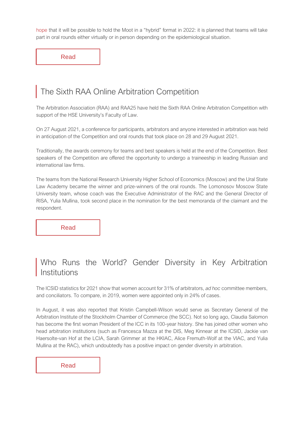[hope](https://www.facebook.com/groups/2406188263/posts/10158676436728264/) that it will be possible to hold the Moot in a "hybrid" format in 2022: it is planned that teams will take part in oral rounds either virtually or in person depending on the epidemiological situation.

[Read](https://admin.aiac.world/uploads/ckupload/ckupload_20210801103608_18.pdf)

# [The Sixth RAA Online Arbitration Competition](http://moot.arbitrations.ru/)

The Arbitration Association (RAA) and RAA25 have held the Sixth RAA Online Arbitration Competition with support of the HSE University's Faculty of Law.

On 27 August 2021, a conference for participants, arbitrators and anyone interested in arbitration was held in anticipation of the Competition and oral rounds that took place on 28 and 29 August 2021.

Traditionally, the awards ceremony for teams and best speakers is held at the end of the Competition. Best speakers of the Competition are offered the opportunity to undergo a traineeship in leading Russian and international law firms.

The teams from the National Research University Higher School of Economics (Moscow) and the Ural State Law Academy became the winner and prize-winners of the oral rounds. The Lomonosov Moscow State University team, whose coach was the Executive Administrator of the RAC and the General Director of RISA, Yulia Mullina, took second place in the nomination for the best memoranda of the claimant and the respondent.

[Read](http://moot.arbitrations.ru/)

# [Who Runs the World? Gender Diversity in Key Arbitration](https://icsid.worldbank.org/sites/default/files/Caseload%20Statistics%20Charts/The%20ICSID%20Caseload%20Statistics%202021-2%20Edition%20ENG.pdf)  [Institutions](https://icsid.worldbank.org/sites/default/files/Caseload%20Statistics%20Charts/The%20ICSID%20Caseload%20Statistics%202021-2%20Edition%20ENG.pdf)

The ICSID statistics for 2021 show that women account for 31% of arbitrators, *ad hoc* committee members, and conciliators. To compare, in 2019, women were appointed only in 24% of cases.

In August, it was also reported that Kristin Campbell-Wilson would serve as Secretary General of the Arbitration Institute of the Stockholm Chamber of Commerce (the SCC). Not so long ago, Claudia Salomon has become the first woman President of the ICC in its 100-year history. She has joined other women who head arbitration institutions (such as Francesca Mazza at the DIS, Meg Kinnear at the ICSID, Jackie van Haersolte-van Hof at the LCIA, Sarah Grimmer at the HKIAC, Alice Fremuth-Wolf at the VIAC, and Yulia Mullina at the RAC), which undoubtedly has a positive impact on gender diversity in arbitration.

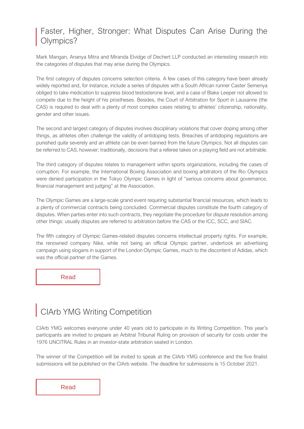#### [Faster, Higher, Stronger: What Disputes Can Arise During the](https://globalarbitrationreview.com/the-olympic-games-citius-altius-fortius-and-litigious)  [Olympics?](https://globalarbitrationreview.com/the-olympic-games-citius-altius-fortius-and-litigious)

Mark Mangan, Ananya Mitra and Miranda Elvidge of Dechert LLP conducted an interesting research into the categories of disputes that may arise during the Olympics.

The first category of disputes concerns selection criteria. A few cases of this category have been already widely reported and, for instance, include a series of disputes with a South African runner Caster Semenya obliged to take medication to suppress blood testosterone level, and a case of Blake Leeper not allowed to compete due to the height of his prostheses. Besides, the Court of Arbitration for Sport in Lausanne (the CAS) is required to deal with a plenty of most complex cases relating to athletes' citizenship, nationality, gender and other issues.

The second and largest category of disputes involves disciplinary violations that cover doping among other things, as athletes often challenge the validity of antidoping tests. Breaches of antidoping regulations are punished quite severely and an athlete can be even banned from the future Olympics. Not all disputes can be referred to CAS, however; traditionally, decisions that a referee takes on a playing field are not arbitrable.

The third category of disputes relates to management within sports organizations, including the cases of corruption. For example, the International Boxing Association and boxing arbitrators of the Rio Olympics were denied participation in the Tokyo Olympic Games in light of "serious concerns about governance, financial management and judging" at the Association.

The Olympic Games are a large-scale grand event requiring substantial financial resources, which leads to a plenty of commercial contracts being concluded. Commercial disputes constitute the fourth category of disputes. When parties enter into such contracts, they negotiate the procedure for dispute resolution among other things: usually disputes are referred to arbitration before the CAS or the ICC, SCC, and SIAC.

The fifth category of Olympic Games-related disputes concerns intellectual property rights. For example, the renowned company Nike, while not being an official Olympic partner, undertook an advertising campaign using slogans in support of the London Olympic Games, much to the discontent of Adidas, which was the official partner of the Games.

[Read](https://globalarbitrationreview.com/the-olympic-games-citius-altius-fortius-and-litigious)

# С[IArb YMG Writing Competition](https://www.ciarb.org/news/ciarb-ymg-writing-competition-2021/?utm_source=Chartered%20Institute%20of%20Arbitrators&utm_medium=email&utm_campaign=12585933_eSolver%20August%202021&dm_i=I8H,7HRD9,5I9H90,UGW10,1)

CIArb YMG welcomes everyone under 40 years old to participate in its Writing Competition. This year's participants are invited to prepare an Arbitral Tribunal Ruling on provision of security for costs under the 1976 UNCITRAL Rules in an investor-state arbitration seated in London.

The winner of the Competition will be invited to speak at the CIArb YMG conference and the five finalist submissions will be published on the CIArb website. The deadline for submissions is 15 October 2021.

[Read](https://www.ciarb.org/news/ciarb-ymg-writing-competition-2021/?utm_source=Chartered%20Institute%20of%20Arbitrators&utm_medium=email&utm_campaign=12585933_eSolver%20August%202021&dm_i=I8H,7HRD9,5I9H90,UGW10,1)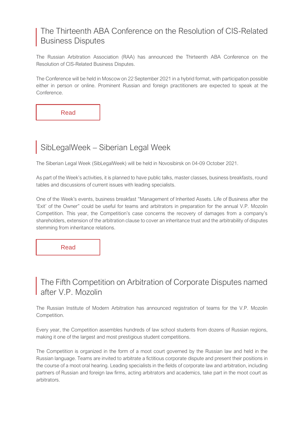#### [The Thirteenth ABA Conference on the Resolution of CIS-Related](https://arbitration.ru/en/events/conference/xiii-aba-conference-on-the-resolution-of-cis-related-business-disputes/)  [Business Disputes](https://arbitration.ru/en/events/conference/xiii-aba-conference-on-the-resolution-of-cis-related-business-disputes/)

The Russian Arbitration Association (RAA) has announced the Thirteenth ABA Conference on the Resolution of CIS-Related Business Disputes.

The Conference will be held in Moscow on 22 September 2021 in a hybrid format, with participation possible either in person or online. Prominent Russian and foreign practitioners are expected to speak at the Conference.

[Read](https://arbitration.ru/events/conference/xiii-konferentsiya-aba-razreshenie-kommercheskikh-sporov-s-uchastiem-storon-iz-stran-sng/index.php)

# SibLegalWeek – [Siberian Legal Week](http://www.siblegalweek.ru/#about)

The Siberian Legal Week (SibLegalWeek) will be held in Novosibirsk on 04-09 October 2021.

As part of the Week's activities, it is planned to have public talks, master classes, business breakfasts, round tables and discussions of current issues with leading specialists.

One of the Week's events, business breakfast "Management of Inherited Assets. Life of Business after the 'Exit' of the Owner" could be useful for teams and arbitrators in preparation for the annual V.P. Mozolin Competition. This year, the Competition's case concerns the recovery of damages from a company's shareholders, extension of the arbitration clause to cover an inheritance trust and the arbitrability of disputes stemming from inheritance relations.

[Read](http://www.siblegalweek.ru/#about)

#### [The Fifth Competition on Arbitration of Corporate Disputes named](https://corp.mootcourt.ru/terms)  [after V.P. Mozolin](https://corp.mootcourt.ru/terms)

The Russian Institute of Modern Arbitration has announced registration of teams for the V.P. Mozolin Competition.

Every year, the Competition assembles hundreds of law school students from dozens of Russian regions, making it one of the largest and most prestigious student competitions.

The Competition is organized in the form of a moot court governed by the Russian law and held in the Russian language. Teams are invited to arbitrate a fictitious corporate dispute and present their positions in the course of a moot oral hearing. Leading specialists in the fields of corporate law and arbitration, including partners of Russian and foreign law firms, acting arbitrators and academics, take part in the moot court as arbitrators.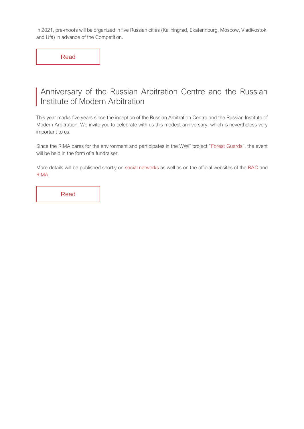In 2021, pre-moots will be organized in five Russian cities (Kaliningrad, Ekaterinburg, Moscow, Vladivostok, and Ufa) in advance of the Competition.

[Read](https://corp.mootcourt.ru/terms)

#### [Anniversary of the Russian Arbitration Centre and the Russian](https://www.facebook.com/centerarbitr.russia/)  Institute of Modern Arbitration

This year marks five years since the inception of the Russian Arbitration Centre and the Russian Institute of Modern Arbitration. We invite you to celebrate with us this modest anniversary, which is nevertheless very important to us.

Since the RIMA cares for the environment and participates in the WWF project "[Forest Guards](https://forest.wwf.ru/)", the event will be held in the form of a fundraiser.

More details will be published shortly o[n social networks](https://www.facebook.com/centerarbitr.russia/) as well as on the official websites of the [RAC](https://centerarbitr.ru/en/main-page/) and [RIMA.](https://modernarbitration.ru/en)